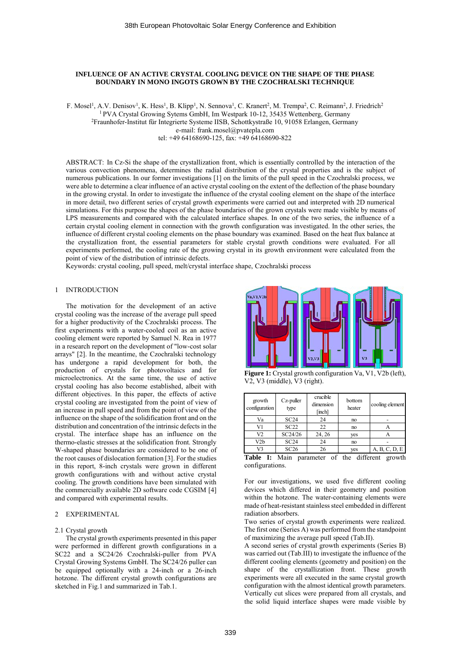# **INFLUENCE OF AN ACTIVE CRYSTAL COOLING DEVICE ON THE SHAPE OF THE PHASE BOUNDARY IN MONO INGOTS GROWN BY THE CZOCHRALSKI TECHNIQUE**

F. Mosel<sup>1</sup>, A.V. Denisov<sup>1</sup>, K. Hess<sup>1</sup>, B. Klipp<sup>1</sup>, N. Sennova<sup>1</sup>, C. Kranert<sup>2</sup>, M. Trempa<sup>2</sup>, C. Reimann<sup>2</sup>, J. Friedrich<sup>2</sup> <sup>1</sup> PVA Crystal Growing Sytems GmbH, Im Westpark 10-12, 35435 Wettenberg, Germany <sup>2</sup>Fraunhofer-Institut für Integrierte Systeme IISB, Schottkystraße 10, 91058 Erlangen, Germany e-mail: frank.mosel@pvatepla.com tel: +49 64168690-125, fax: +49 64168690-822

ABSTRACT: In Cz-Si the shape of the crystallization front, which is essentially controlled by the interaction of the various convection phenomena, determines the radial distribution of the crystal properties and is the subject of numerous publications. In our former investigations [1] on the limits of the pull speed in the Czochralski process, we were able to determine a clear influence of an active crystal cooling on the extent of the deflection of the phase boundary in the growing crystal. In order to investigate the influence of the crystal cooling element on the shape of the interface in more detail, two different series of crystal growth experiments were carried out and interpreted with 2D numerical simulations. For this purpose the shapes of the phase boundaries of the grown crystals were made visible by means of LPS measurements and compared with the calculated interface shapes. In one of the two series, the influence of a certain crystal cooling element in connection with the growth configuration was investigated. In the other series, the influence of different crystal cooling elements on the phase boundary was examined. Based on the heat flux balance at the crystallization front, the essential parameters for stable crystal growth conditions were evaluated. For all experiments performed, the cooling rate of the growing crystal in its growth environment were calculated from the point of view of the distribution of intrinsic defects.

Keywords: crystal cooling, pull speed, melt/crystal interface shape, Czochralski process

## 1 INTRODUCTION

The motivation for the development of an active crystal cooling was the increase of the average pull speed for a higher productivity of the Czochralski process. The first experiments with a water-cooled coil as an active cooling element were reported by Samuel N. Rea in 1977 in a research report on the development of "low-cost solar arrays" [2]. In the meantime, the Czochralski technology has undergone a rapid development for both, the production of crystals for photovoltaics and for microelectronics. At the same time, the use of active crystal cooling has also become established, albeit with different objectives. In this paper, the effects of active crystal cooling are investigated from the point of view of an increase in pull speed and from the point of view of the influence on the shape of the solidification front and on the distribution and concentration of the intrinsic defects in the crystal. The interface shape has an influence on the thermo-elastic stresses at the solidification front. Strongly W-shaped phase boundaries are considered to be one of the root causes of dislocation formation [3]. For the studies in this report, 8-inch crystals were grown in different growth configurations with and without active crystal cooling. The growth conditions have been simulated with the commercially available 2D software code CGSIM [4] and compared with experimental results.

### 2 EXPERIMENTAL

#### 2.1 Crystal growth

The crystal growth experiments presented in this paper were performed in different growth configurations in a SC22 and a SC24/26 Czochralski-puller from PVA Crystal Growing Systems GmbH. The SC24/26 puller can be equipped optionally with a 24-inch or a 26-inch hotzone. The different crystal growth configurations are sketched in Fig.1 and summarized in Tab.1.



**Figure 1:** Crystal growth configuration Va, V1, V2b (left), V2, V3 (middle), V3 (right).

| growth<br>configuration                                   | Cz-puller<br>type | crucible<br>dimension<br>[inch] | bottom<br>heater | cooling element |  |  |
|-----------------------------------------------------------|-------------------|---------------------------------|------------------|-----------------|--|--|
| Va                                                        | SC24              | 24<br>no                        |                  |                 |  |  |
| V1                                                        | SC22              | 22                              | no               | А               |  |  |
| V <sub>2</sub>                                            | SC24/26           | 24, 26                          | yes              | Α               |  |  |
| V2b                                                       | SC24              | 24                              | no               |                 |  |  |
| V3                                                        | SC26              | 26                              | yes              | A, B, C, D, E   |  |  |
| <b>Table I:</b> Main parameter of the different<br>growth |                   |                                 |                  |                 |  |  |

configurations.

For our investigations, we used five different cooling devices which differed in their geometry and position within the hotzone. The water-containing elements were made of heat-resistant stainless steel embedded in different radiation absorbers.

Two series of crystal growth experiments were realized. The first one (Series A) was performed from the standpoint of maximizing the average pull speed (Tab.II).

A second series of crystal growth experiments (Series B) was carried out (Tab.III) to investigate the influence of the different cooling elements (geometry and position) on the shape of the crystallization front. These growth experiments were all executed in the same crystal growth configuration with the almost identical growth parameters. Vertically cut slices were prepared from all crystals, and bottom<br>
configuration type<br>  $\frac{\text{time}}{\text{t}}$  on the solid lines interface shapes were made visible by  $\frac{\text{V1}}{\text{SC22}}$  and  $\frac{\text{V2}}{\text{SC24}}$  and  $\frac{\text{V3}}{\text{SC24}}$  and  $\frac{\text{V4}}{\text{SC24}}$  and  $\frac{\text{V5}}{\text{SC24}}$  and  $\frac{\text{$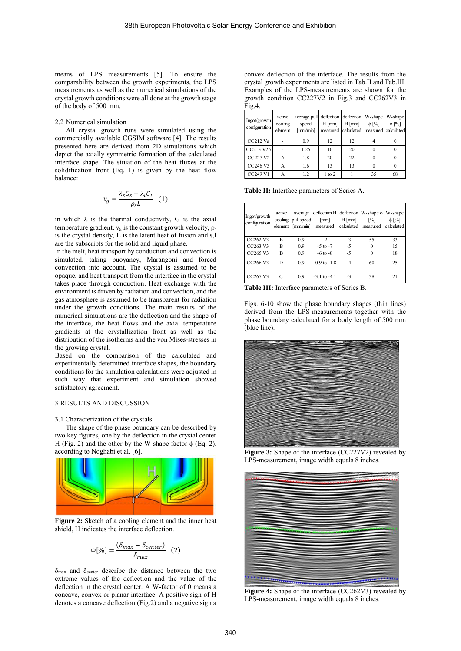means of LPS measurements [5]. To ensure the comparability between the growth experiments, the LPS measurements as well as the numerical simulations of the crystal growth conditions were all done at the growth stage of the body of 500 mm.

#### 2.2 Numerical simulation

All crystal growth runs were simulated using the commercially available CGSIM software [4]. The results presented here are derived from 2D simulations which depict the axially symmetric formation of the calculated interface shape. The situation of the heat fluxes at the solidification front (Eq. 1) is given by the heat flow balance:

$$
v_g = \frac{\lambda_s G_s - \lambda_l G_l}{\rho_s L} \quad (1)
$$

in which  $\lambda$  is the thermal conductivity, G is the axial temperature gradient,  $v_g$  is the constant growth velocity,  $\rho_s$ is the crystal density, L is the latent heat of fusion and s,l are the subscripts for the solid and liquid phase.

In the melt, heat transport by conduction and convection is simulated, taking buoyancy, Marangoni and forced convection into account. The crystal is assumed to be opaque, and heat transport from the interface in the crystal takes place through conduction. Heat exchange with the environment is driven by radiation and convection, and the gas atmosphere is assumed to be transparent for radiation under the growth conditions. The main results of the numerical simulations are the deflection and the shape of the interface, the heat flows and the axial temperature gradients at the crystallization front as well as the distribution of the isotherms and the von Mises-stresses in the growing crystal.

Based on the comparison of the calculated and experimentally determined interface shapes, the boundary conditions for the simulation calculations were adjusted in such way that experiment and simulation showed satisfactory agreement.

# 3 RESULTS AND DISCUSSION

## 3.1 Characterization of the crystals

The shape of the phase boundary can be described by two key figures, one by the deflection in the crystal center H (Fig. 2) and the other by the W-shape factor  $\phi$  (Eq. 2), according to Noghabi et al. [6].



**Figure 2:** Sketch of a cooling element and the inner heat shield, H indicates the interface deflection.

$$
\Phi[\%] = \frac{(\delta_{max} - \delta_{center})}{\delta_{max}} \quad (2)
$$

δmax and δcenter describe the distance between the two extreme values of the deflection and the value of the deflection in the crystal center. A W-factor of 0 means a concave, convex or planar interface. A positive sign of H denotes a concave deflection (Fig.2) and a negative sign a

convex deflection of the interface. The results from the crystal growth experiments are listed in Tab.II and Tab.III. Examples of the LPS-measurements are shown for the growth condition CC227V2 in Fig.3 and CC262V3 in Fig.4.

| Ingot/growth<br>configuration | active<br>cooling<br>element | average pull deflection deflection W-shape<br>speed<br>${\rm [mm/min]}$ | $H$ [mm] | $H$ [mm]<br>measured calculated measured calculated | $\phi$ [%] | W-shape<br>$\phi$ [%] |
|-------------------------------|------------------------------|-------------------------------------------------------------------------|----------|-----------------------------------------------------|------------|-----------------------|
| CC212 Va                      |                              | 0.9                                                                     | 12       | 12                                                  |            |                       |
| CC213 V2b                     |                              | 1.25                                                                    | 16       | 20                                                  |            |                       |
| CC227 V2                      | А                            | 1.8                                                                     | 20       | 22                                                  |            |                       |
| CC246 V3                      | А                            | 1.6                                                                     | 13       | 13                                                  |            |                       |
| CC249 V1                      |                              | 1.2                                                                     | 1 to 2   |                                                     | 35         | 68                    |

**Table II:** Interface parameters of Series A.

| Ingot/growth<br>configuration    | active<br>cooling<br>element | average<br>pull speed<br>${\rm [mm/min]}$ | deflection H deflection W-shape $\phi$<br>[mm]<br>measured | $H$ [mm]<br>calculated | $\lceil\% \rceil$<br>measured | W-shape<br>$\phi$ [%]<br>calculated |
|----------------------------------|------------------------------|-------------------------------------------|------------------------------------------------------------|------------------------|-------------------------------|-------------------------------------|
| CC <sub>262</sub> V <sub>3</sub> | E                            | 0.9                                       | $-2$                                                       | $-3$                   | 55                            | 33                                  |
| CC263 V3                         | B                            | 0.9                                       | $-5$ to $-7$                                               | $-5$                   | $\Omega$                      | 15                                  |
| CC265 V3                         | B                            | 0.9                                       | $-6$ to $-8$                                               | $-5$                   | $\Omega$                      | 18                                  |
| CC266 V3                         | D                            | 0.9                                       | $-0.9$ to $-1.8$                                           | $-4$                   | 60                            | 25                                  |
| CC267 V3                         | C                            | 0.9                                       | $-3.1$ to $-4.1$                                           | $-3$                   | 38                            | 21                                  |

**Table III:** Interface parameters of Series B.

Figs. 6-10 show the phase boundary shapes (thin lines) derived from the LPS-measurements together with the phase boundary calculated for a body length of 500 mm (blue line).



**Figure 3:** Shape of the interface (CC227V2) revealed by LPS-measurement, image width equals 8 inches.



**Figure 4:** Shape of the interface (CC262V3) revealed by LPS-measurement, image width equals 8 inches.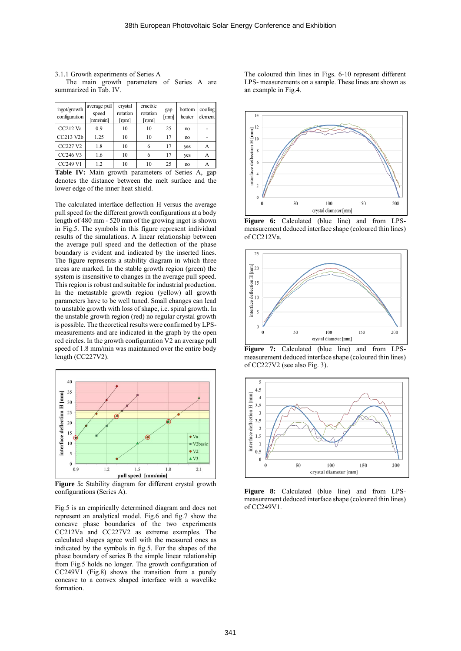3.1.1 Growth experiments of Series A The main growth parameters of Series A are summarized in Tab. IV.

| ingot/growth<br>configuration | average pull<br>speed<br>mm/min] | crystal<br>rotation<br>[rpm] | crucible<br>rotation<br>[rpm]     | gap<br>[mm]      | bottom<br>heater | cooling<br>element |
|-------------------------------|----------------------------------|------------------------------|-----------------------------------|------------------|------------------|--------------------|
| CC212 Va                      | 0.9                              | 10                           | 10                                | 25               | no               |                    |
| CC213 V2b                     | 1.25                             | 10                           | 10                                | 17               | no               |                    |
| CC227 V2                      | 1.8                              | 10                           | 6                                 | 17               | yes              | А                  |
| CC246 V3                      | 1.6                              | 10                           |                                   | 17               | yes              | А                  |
| <b>CC249 V1</b>               | 1.2                              | 10                           | 10                                | 25               | no               | А                  |
| $- - -$<br>.                  | .                                | $\cdot$ 1                    | <b>Contract Contract Contract</b> | $\sim$<br>$\sim$ |                  |                    |

**Table IV:** Main growth parameters of Series A, gap denotes the distance between the melt surface and the lower edge of the inner heat shield.

The calculated interface deflection H versus the average pull speed for the different growth configurations at a body length of 480 mm - 520 mm of the growing ingot is shown in Fig.5. The symbols in this figure represent individual results of the simulations. A linear relationship between the average pull speed and the deflection of the phase boundary is evident and indicated by the inserted lines. The figure represents a stability diagram in which three areas are marked. In the stable growth region (green) the system is insensitive to changes in the average pull speed. This region is robust and suitable for industrial production. In the metastable growth region (yellow) all growth parameters have to be well tuned. Small changes can lead to unstable growth with loss of shape, i.e. spiral growth. In the unstable growth region (red) no regular crystal growth is possible. The theoretical results were confirmed by LPSmeasurements and are indicated in the graph by the open red circles. In the growth configuration V2 an average pull speed of 1.8 mm/min was maintained over the entire body length (CC227V2).



**Figure 5:** Stability diagram for different crystal growth configurations (Series A).

Fig.5 is an empirically determined diagram and does not represent an analytical model. Fig.6 and fig.7 show the concave phase boundaries of the two experiments CC212Va and CC227V2 as extreme examples. The calculated shapes agree well with the measured ones as indicated by the symbols in fig.5. For the shapes of the phase boundary of series B the simple linear relationship from Fig.5 holds no longer. The growth configuration of CC249V1 (Fig.8) shows the transition from a purely concave to a convex shaped interface with a wavelike formation.

The coloured thin lines in Figs. 6-10 represent different LPS- measurements on a sample. These lines are shown as an example in Fig.4.



**Figure 6:** Calculated (blue line) and from LPSmeasurement deduced interface shape (coloured thin lines) of CC212Va.



Figure 7: Calculated (blue line) and from LPSmeasurement deduced interface shape (coloured thin lines) of CC227V2 (see also Fig. 3).



**Figure 8:** Calculated (blue line) and from LPSmeasurement deduced interface shape (coloured thin lines) of CC249V1.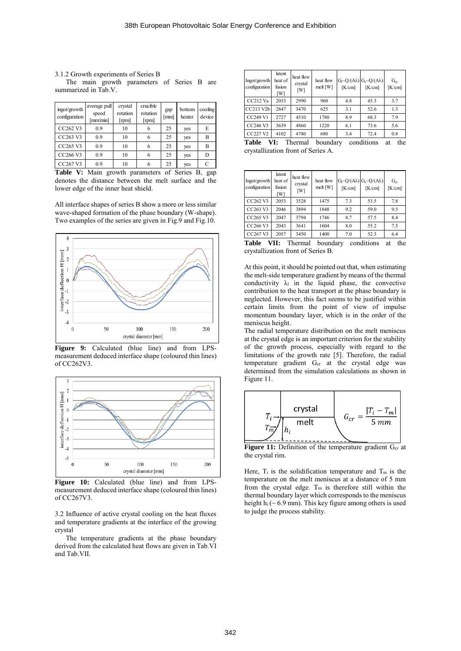3.1.2 Growth experiments of Series B The main growth parameters of Series B are summarized in Tab.V.

| ingot/growth<br>configuration    | average pull<br>speed<br>[mm/min] | crystal<br>rotation<br>[ <sub>rpm</sub> ] | crucible<br>rotation<br>[rpm] | gap<br>[mm] | bottom<br>heater | cooling<br>device |
|----------------------------------|-----------------------------------|-------------------------------------------|-------------------------------|-------------|------------------|-------------------|
| CC <sub>262</sub> V <sub>3</sub> | 0.9                               | 10                                        | 6                             | 25          | yes              | E                 |
| CC263 V3                         | 0.9                               | 10                                        | 6                             | 25          | yes              | B                 |
| CC265 V3                         | 0.9                               | 10                                        | 6                             | 25          | yes              | B                 |
| CC266 V3                         | 0.9                               | 10                                        | 6                             | 25          | yes              | D                 |
| CC267 V3                         | 0.9                               | 10                                        | 6                             | 25          | yes              |                   |

**Table V:** Main growth parameters of Series B, gap denotes the distance between the melt surface and the lower edge of the inner heat shield.

All interface shapes of series B show a more or less similar wave-shaped formation of the phase boundary (W-shape). Two examples of the series are given in Fig.9 and Fig.10.



**Figure 9:** Calculated (blue line) and from LPSmeasurement deduced interface shape (coloured thin lines) of CC262V3.



Figure 10: Calculated (blue line) and from LPSmeasurement deduced interface shape (coloured thin lines) of CC267V3.

3.2 Influence of active crystal cooling on the heat fluxes and temperature gradients at the interface of the growing crystal

The temperature gradients at the phase boundary derived from the calculated heat flows are given in Tab.VI and Tab.VII.

| Ingot/growth<br>configuration | latent<br>heat of<br>fusion<br>[W] | heat flow<br>crystal<br>[W] | heat flow<br>melt [W] | [K/cm] | $G_1 \sim Q/(A\lambda)$ $G_s \sim Q/(A\lambda)$<br>[K/cm] | $G_{cr}$<br>[K/cm] |
|-------------------------------|------------------------------------|-----------------------------|-----------------------|--------|-----------------------------------------------------------|--------------------|
| $CC212$ Va                    | 2033                               | 2990                        | 960                   | 4.8    | 45.3                                                      | 3.7                |
| CC213 V2b                     | 2847                               | 3470                        | 625                   | 3.1    | 52.6                                                      | 1.3                |
| CC249 V1                      | 2727                               | 4510                        | 1780                  | 8.9    | 68.3                                                      | 7.9                |
| CC246 V3                      | 3639                               | 4860                        | 1220                  | 6.1    | 73.6                                                      | 5.6                |
| <b>CC227 V2</b>               | 4102                               | 4780                        | 680                   | 3.4    | 72.4                                                      | 0.8                |

|  |                                    | Table VI: Thermal boundary conditions at the |  |
|--|------------------------------------|----------------------------------------------|--|
|  | crystallization front of Series A. |                                              |  |

| Ingot/growth<br>configuration    | latent<br>heat of<br>fusion<br>[W] | heat flow<br>crystal<br>[W] | heat flow<br>melt [W] | [K/cm] | $G_l \sim Q/(A\lambda) G_s \sim Q/(A\lambda)$<br>[K/cm] | $G_{cr}$<br>[K/cm] |
|----------------------------------|------------------------------------|-----------------------------|-----------------------|--------|---------------------------------------------------------|--------------------|
| CC262 V3                         | 2053                               | 3528                        | 1475                  | 7.3    | 53.5                                                    | 7.8                |
| CC263 V3                         | 2046                               | 3894                        | 1848                  | 9.2    | 59.0                                                    | 9.5                |
| CC265 V3                         | 2047                               | 3794                        | 1746                  | 8.7    | 57.5                                                    | 8.4                |
| CC266 V3                         | 2043                               | 3641                        | 1604                  | 8.0    | 55.2                                                    | 7.5                |
| CC <sub>267</sub> V <sub>3</sub> | 2057                               | 3450                        | 1400                  | 7.0    | 52.3                                                    | 6.4                |

**Table VII:** Thermal boundary conditions at the crystallization front of Series B.

At this point, it should be pointed out that, when estimating the melt-side temperature gradient by means of the thermal conductivity  $\lambda_1$  in the liquid phase, the convective contribution to the heat transport at the phase boundary is neglected. However, this fact seems to be justified within certain limits from the point of view of impulse momentum boundary layer, which is in the order of the meniscus height.

The radial temperature distribution on the melt meniscus at the crystal edge is an important criterion for the stability of the growth process, especially with regard to the limitations of the growth rate [5]. Therefore, the radial temperature gradient G<sub>cr</sub> at the crystal edge was determined from the simulation calculations as shown in Figure 11.



**Figure 11:** Definition of the temperature gradient G<sub>cr</sub> at the crystal rim.

Here,  $T_i$  is the solidification temperature and  $T_m$  is the temperature on the melt meniscus at a distance of 5 mm from the crystal edge.  $T_m$  is therefore still within the thermal boundary layer which corresponds to the meniscus height  $h_i$  (~ 6.9 mm). This key figure among others is used to judge the process stability.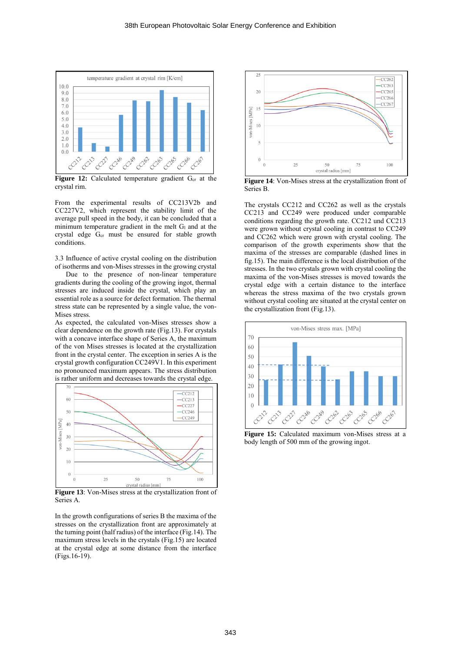

Figure 12: Calculated temperature gradient G<sub>cr</sub> at the crystal rim.

From the experimental results of CC213V2b and CC227V2, which represent the stability limit of the average pull speed in the body, it can be concluded that a minimum temperature gradient in the melt  $G<sub>l</sub>$  and at the crystal edge G<sub>cr</sub> must be ensured for stable growth conditions.

3.3 Influence of active crystal cooling on the distribution of isotherms and von-Mises stresses in the growing crystal

Due to the presence of non-linear temperature gradients during the cooling of the growing ingot, thermal stresses are induced inside the crystal, which play an essential role as a source for defect formation. The thermal stress state can be represented by a single value, the von-Mises stress.

As expected, the calculated von-Mises stresses show a clear dependence on the growth rate (Fig.13). For crystals with a concave interface shape of Series A, the maximum of the von Mises stresses is located at the crystallization front in the crystal center. The exception in series A is the crystal growth configuration CC249V1. In this experiment no pronounced maximum appears. The stress distribution is rather uniform and decreases towards the crystal edge.



**Figure 13**: Von-Mises stress at the crystallization front of Series A.

In the growth configurations of series B the maxima of the stresses on the crystallization front are approximately at the turning point (half radius) of the interface (Fig.14). The maximum stress levels in the crystals (Fig.15) are located at the crystal edge at some distance from the interface (Figs.16-19).



**Figure 14**: Von-Mises stress at the crystallization front of Series B.

The crystals CC212 and CC262 as well as the crystals CC213 and CC249 were produced under comparable conditions regarding the growth rate. CC212 und CC213 were grown without crystal cooling in contrast to CC249 and CC262 which were grown with crystal cooling. The comparison of the growth experiments show that the maxima of the stresses are comparable (dashed lines in fig.15). The main difference is the local distribution of the stresses. In the two crystals grown with crystal cooling the maxima of the von-Mises stresses is moved towards the crystal edge with a certain distance to the interface whereas the stress maxima of the two crystals grown without crystal cooling are situated at the crystal center on the crystallization front (Fig.13).



**Figure 15:** Calculated maximum von-Mises stress at a body length of 500 mm of the growing ingot.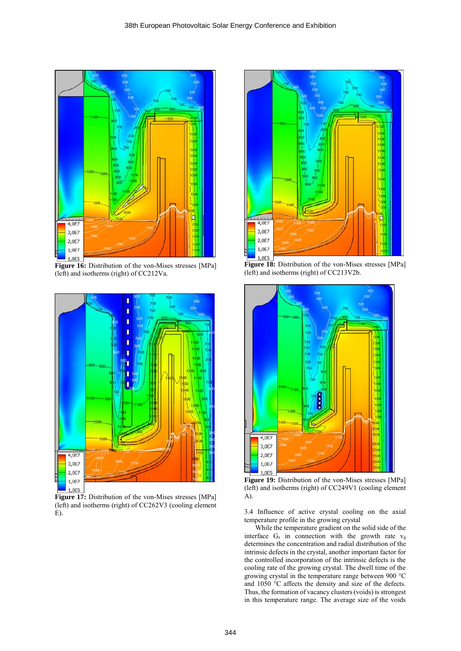

Figure 16: Distribution of the von-Mises stresses [MPa] (left) and isotherms (right) of CC212Va.



**Figure 17:** Distribution of the von-Mises stresses [MPa] (left) and isotherms (right) of CC262V3 (cooling element E).



**Figure 18:** Distribution of the von-Mises stresses [MPa] (left) and isotherms (right) of CC213V2b.



**Figure 19:** Distribution of the von-Mises stresses [MPa] (left) and isotherms (right) of CC249V1 (cooling element A).

3.4 Influence of active crystal cooling on the axial temperature profile in the growing crystal

While the temperature gradient on the solid side of the interface G<sup>s</sup> in connection with the growth rate v<sup>g</sup> determines the concentration and radial distribution of the intrinsic defects in the crystal, another important factor for the controlled incorporation of the intrinsic defects is the cooling rate of the growing crystal. The dwell time of the growing crystal in the temperature range between 900 °C and 1050 °C affects the density and size of the defects. Thus, the formation of vacancy clusters (voids) is strongest in this temperature range. The average size of the voids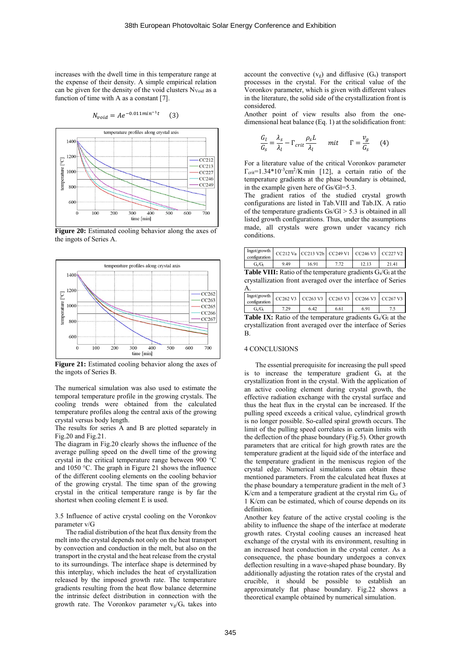increases with the dwell time in this temperature range at the expense of their density. A simple empirical relation can be given for the density of the void clusters Nvoid as a function of time with A as a constant [7].

 $N_{void} = Ae^{-0.011min^{-1}}$ (3)



**Figure 20:** Estimated cooling behavior along the axes of the ingots of Series A.



**Figure 21:** Estimated cooling behavior along the axes of the ingots of Series B.

The numerical simulation was also used to estimate the temporal temperature profile in the growing crystals. The cooling trends were obtained from the calculated temperature profiles along the central axis of the growing crystal versus body length.

The results for series A and B are plotted separately in Fig.20 and Fig.21.

The diagram in Fig.20 clearly shows the influence of the average pulling speed on the dwell time of the growing crystal in the critical temperature range between 900 °C and 1050 °C. The graph in Figure 21 shows the influence of the different cooling elements on the cooling behavior of the growing crystal. The time span of the growing crystal in the critical temperature range is by far the shortest when cooling element E is used.

### 3.5 Influence of active crystal cooling on the Voronkov parameter v/G

The radial distribution of the heat flux density from the melt into the crystal depends not only on the heat transport by convection and conduction in the melt, but also on the transport in the crystal and the heat release from the crystal to its surroundings. The interface shape is determined by this interplay, which includes the heat of crystallization released by the imposed growth rate. The temperature gradients resulting from the heat flow balance determine the intrinsic defect distribution in connection with the growth rate. The Voronkov parameter  $v_g/G_s$  takes into account the convective  $(v_g)$  and diffusive  $(G_s)$  transport processes in the crystal. For the critical value of the Voronkov parameter, which is given with different values in the literature, the solid side of the crystallization front is considered.

Another point of view results also from the onedimensional heat balance (Eq. 1) at the solidification front:

$$
\frac{G_l}{G_s} = \frac{\lambda_s}{\lambda_l} - \Gamma_{crit} \frac{\rho_s L}{\lambda_l} \quad mit \quad \Gamma = \frac{v_g}{G_s} \quad (4)
$$

For a literature value of the critical Voronkov parameter  $\Gamma_{\text{crit}}=1.34*10^{-3}$ cm<sup>2</sup>/K·min [12], a certain ratio of the temperature gradients at the phase boundary is obtained, in the example given here of Gs/Gl=5.3.

The gradient ratios of the studied crystal growth configurations are listed in Tab.VIII and Tab.IX. A ratio of the temperature gradients  $Gs/Gl > 5.3$  is obtained in all listed growth configurations. Thus, under the assumptions made, all crystals were grown under vacancy rich conditions.

| configuration                                                                 |     |       |      |       |      |  |
|-------------------------------------------------------------------------------|-----|-------|------|-------|------|--|
| $G_{\rm c}/G_{\rm b}$                                                         | 949 | 16.91 | 7.72 | 12.13 | 2141 |  |
| <b>Table VIII</b> $\cdot$ Ratio of the temperature gradients $G_2/G_1$ at the |     |       |      |       |      |  |

**1:** Ratio of the temperature gradients Gs/G crystallization front averaged over the interface of Series A.

| Ingot/growth<br>configuration |      |      | CC262 V3 CC263 V3 CC265 V3 CC266 V3 CC267 V3 |      |  |
|-------------------------------|------|------|----------------------------------------------|------|--|
| $G/G_1$                       | 7.29 | 6.42 | 6.61                                         | 6.91 |  |

Table IX: Ratio of the temperature gradients G<sub>s</sub>/G<sub>l</sub> at the crystallization front averaged over the interface of Series B.

#### 4 CONCLUSIONS

The essential prerequisite for increasing the pull speed is to increase the temperature gradient G<sup>s</sup> at the crystallization front in the crystal. With the application of an active cooling element during crystal growth, the effective radiation exchange with the crystal surface and thus the heat flux in the crystal can be increased. If the pulling speed exceeds a critical value, cylindrical growth is no longer possible. So-called spiral growth occurs. The limit of the pulling speed correlates in certain limits with the deflection of the phase boundary (Fig.5). Other growth parameters that are critical for high growth rates are the temperature gradient at the liquid side of the interface and the temperature gradient in the meniscus region of the crystal edge. Numerical simulations can obtain these mentioned parameters. From the calculated heat fluxes at the phase boundary a temperature gradient in the melt of 3 K/cm and a temperature gradient at the crystal rim  $G_{cr}$  of 1 K/cm can be estimated, which of course depends on its definition.

Another key feature of the active crystal cooling is the ability to influence the shape of the interface at moderate growth rates. Crystal cooling causes an increased heat exchange of the crystal with its environment, resulting in an increased heat conduction in the crystal center. As a consequence, the phase boundary undergoes a convex deflection resulting in a wave-shaped phase boundary. By additionally adjusting the rotation rates of the crystal and crucible, it should be possible to establish an approximately flat phase boundary. Fig.22 shows a theoretical example obtained by numerical simulation.